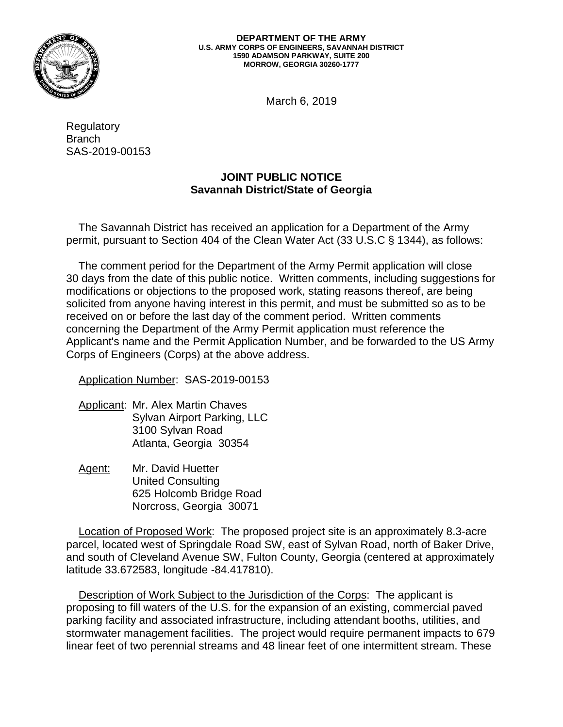

#### **DEPARTMENT OF THE ARMY U.S. ARMY CORPS OF ENGINEERS, SAVANNAH DISTRICT 1590 ADAMSON PARKWAY, SUITE 200 MORROW, GEORGIA 30260-1777**

March 6, 2019

**Regulatory** Branch SAS-2019-00153

# **JOINT PUBLIC NOTICE Savannah District/State of Georgia**

 permit, pursuant to Section 404 of the Clean Water Act (33 U.S.C § 1344), as follows: The Savannah District has received an application for a Department of the Army

 30 days from the date of this public notice. Written comments, including suggestions for modifications or objections to the proposed work, stating reasons thereof, are being received on or before the last day of the comment period. Written comments The comment period for the Department of the Army Permit application will close solicited from anyone having interest in this permit, and must be submitted so as to be concerning the Department of the Army Permit application must reference the Applicant's name and the Permit Application Number, and be forwarded to the US Army Corps of Engineers (Corps) at the above address.

Application Number: SAS-2019-00153

- Applicant: Mr. Alex Martin Chaves Sylvan Airport Parking, LLC 3100 Sylvan Road Atlanta, Georgia 30354
- Agent: Mr. David Huetter United Consulting 625 Holcomb Bridge Road Norcross, Georgia 30071

 parcel, located west of Springdale Road SW, east of Sylvan Road, north of Baker Drive, latitude 33.672583, longitude -84.417810). Location of Proposed Work: The proposed project site is an approximately 8.3-acre and south of Cleveland Avenue SW, Fulton County, Georgia (centered at approximately

 stormwater management facilities. The project would require permanent impacts to 679 linear feet of two perennial streams and 48 linear feet of one intermittent stream. These Description of Work Subject to the Jurisdiction of the Corps: The applicant is proposing to fill waters of the U.S. for the expansion of an existing, commercial paved parking facility and associated infrastructure, including attendant booths, utilities, and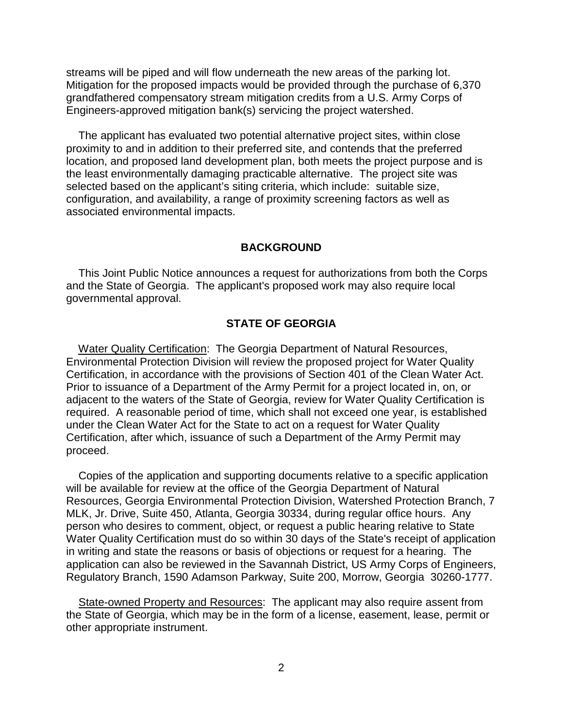Engineers-approved mitigation bank(s) servicing the project watershed. streams will be piped and will flow underneath the new areas of the parking lot. Mitigation for the proposed impacts would be provided through the purchase of 6,370 grandfathered compensatory stream mitigation credits from a U.S. Army Corps of

 location, and proposed land development plan, both meets the project purpose and is the least environmentally damaging practicable alternative. The project site was associated environmental impacts. The applicant has evaluated two potential alternative project sites, within close proximity to and in addition to their preferred site, and contends that the preferred selected based on the applicant's siting criteria, which include: suitable size, configuration, and availability, a range of proximity screening factors as well as

## **BACKGROUND**

 and the State of Georgia. The applicant's proposed work may also require local This Joint Public Notice announces a request for authorizations from both the Corps governmental approval.

## **STATE OF GEORGIA**

 Environmental Protection Division will review the proposed project for Water Quality Certification, in accordance with the provisions of Section 401 of the Clean Water Act. under the Clean Water Act for the State to act on a request for Water Quality Water Quality Certification: The Georgia Department of Natural Resources, Prior to issuance of a Department of the Army Permit for a project located in, on, or adjacent to the waters of the State of Georgia, review for Water Quality Certification is required. A reasonable period of time, which shall not exceed one year, is established Certification, after which, issuance of such a Department of the Army Permit may proceed.

 will be available for review at the office of the Georgia Department of Natural Resources, Georgia Environmental Protection Division, Watershed Protection Branch, 7 Water Quality Certification must do so within 30 days of the State's receipt of application in writing and state the reasons or basis of objections or request for a hearing. The application can also be reviewed in the Savannah District, US Army Corps of Engineers, Copies of the application and supporting documents relative to a specific application MLK, Jr. Drive, Suite 450, Atlanta, Georgia 30334, during regular office hours. Any person who desires to comment, object, or request a public hearing relative to State

Regulatory Branch, 1590 Adamson Parkway, Suite 200, Morrow, Georgia 30260-1777.<br><u>State-owned Property and Resources</u>: The applicant may also require assent from the State of Georgia, which may be in the form of a license, easement, lease, permit or other appropriate instrument.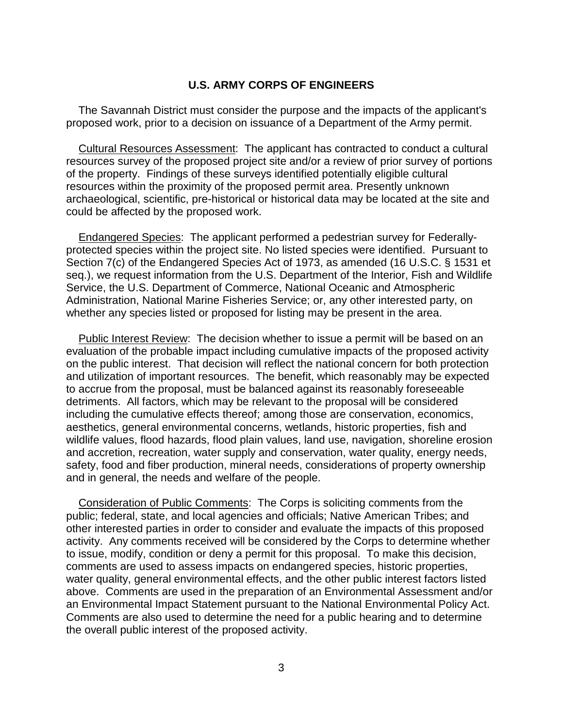#### **U.S. ARMY CORPS OF ENGINEERS**

The Savannah District must consider the purpose and the impacts of the applicant's proposed work, prior to a decision on issuance of a Department of the Army permit.

 resources survey of the proposed project site and/or a review of prior survey of portions Cultural Resources Assessment: The applicant has contracted to conduct a cultural of the property. Findings of these surveys identified potentially eligible cultural resources within the proximity of the proposed permit area. Presently unknown archaeological, scientific, pre-historical or historical data may be located at the site and could be affected by the proposed work.

 protected species within the project site. No listed species were identified. Pursuant to Section 7(c) of the Endangered Species Act of 1973, as amended (16 U.S.C. § 1531 et Service, the U.S. Department of Commerce, National Oceanic and Atmospheric Endangered Species: The applicant performed a pedestrian survey for Federallyseq.), we request information from the U.S. Department of the Interior, Fish and Wildlife Administration, National Marine Fisheries Service; or, any other interested party, on whether any species listed or proposed for listing may be present in the area.

 on the public interest. That decision will reflect the national concern for both protection and utilization of important resources. The benefit, which reasonably may be expected to accrue from the proposal, must be balanced against its reasonably foreseeable Public Interest Review: The decision whether to issue a permit will be based on an evaluation of the probable impact including cumulative impacts of the proposed activity detriments. All factors, which may be relevant to the proposal will be considered including the cumulative effects thereof; among those are conservation, economics, aesthetics, general environmental concerns, wetlands, historic properties, fish and wildlife values, flood hazards, flood plain values, land use, navigation, shoreline erosion and accretion, recreation, water supply and conservation, water quality, energy needs, safety, food and fiber production, mineral needs, considerations of property ownership and in general, the needs and welfare of the people.

 other interested parties in order to consider and evaluate the impacts of this proposed water quality, general environmental effects, and the other public interest factors listed an Environmental Impact Statement pursuant to the National Environmental Policy Act. Comments are also used to determine the need for a public hearing and to determine Consideration of Public Comments: The Corps is soliciting comments from the public; federal, state, and local agencies and officials; Native American Tribes; and activity. Any comments received will be considered by the Corps to determine whether to issue, modify, condition or deny a permit for this proposal. To make this decision, comments are used to assess impacts on endangered species, historic properties, above. Comments are used in the preparation of an Environmental Assessment and/or the overall public interest of the proposed activity.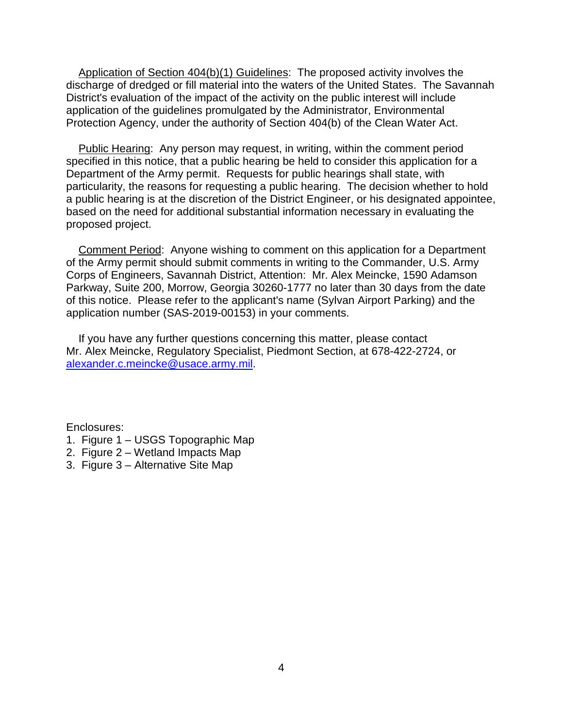discharge of dredged or fill material into the waters of the United States. The Savannah Application of Section 404(b)(1) Guidelines: The proposed activity involves the District's evaluation of the impact of the activity on the public interest will include application of the guidelines promulgated by the Administrator, Environmental Protection Agency, under the authority of Section 404(b) of the Clean Water Act.

 Department of the Army permit. Requests for public hearings shall state, with particularity, the reasons for requesting a public hearing. The decision whether to hold based on the need for additional substantial information necessary in evaluating the Public Hearing: Any person may request, in writing, within the comment period specified in this notice, that a public hearing be held to consider this application for a a public hearing is at the discretion of the District Engineer, or his designated appointee, proposed project.

 of the Army permit should submit comments in writing to the Commander, U.S. Army Comment Period: Anyone wishing to comment on this application for a Department Corps of Engineers, Savannah District, Attention: Mr. Alex Meincke, 1590 Adamson Parkway, Suite 200, Morrow, Georgia 30260-1777 no later than 30 days from the date of this notice. Please refer to the applicant's name (Sylvan Airport Parking) and the application number (SAS-2019-00153) in your comments.

If you have any further questions concerning this matter, please contact Mr. Alex Meincke, Regulatory Specialist, Piedmont Section, at 678-422-2724, or alexander.c.meincke@usace.army.mil.

Enclosures:

- 1. Figure 1 USGS Topographic Map
- 2. Figure 2 Wetland Impacts Map
- 3. Figure 3 Alternative Site Map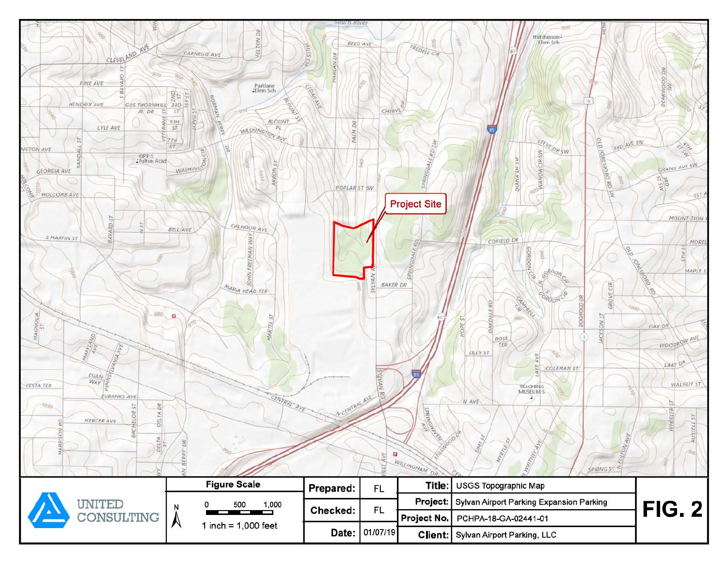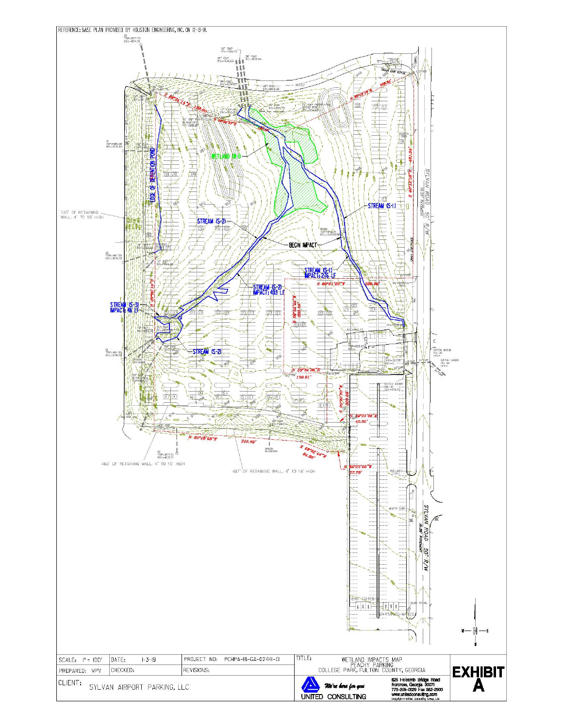